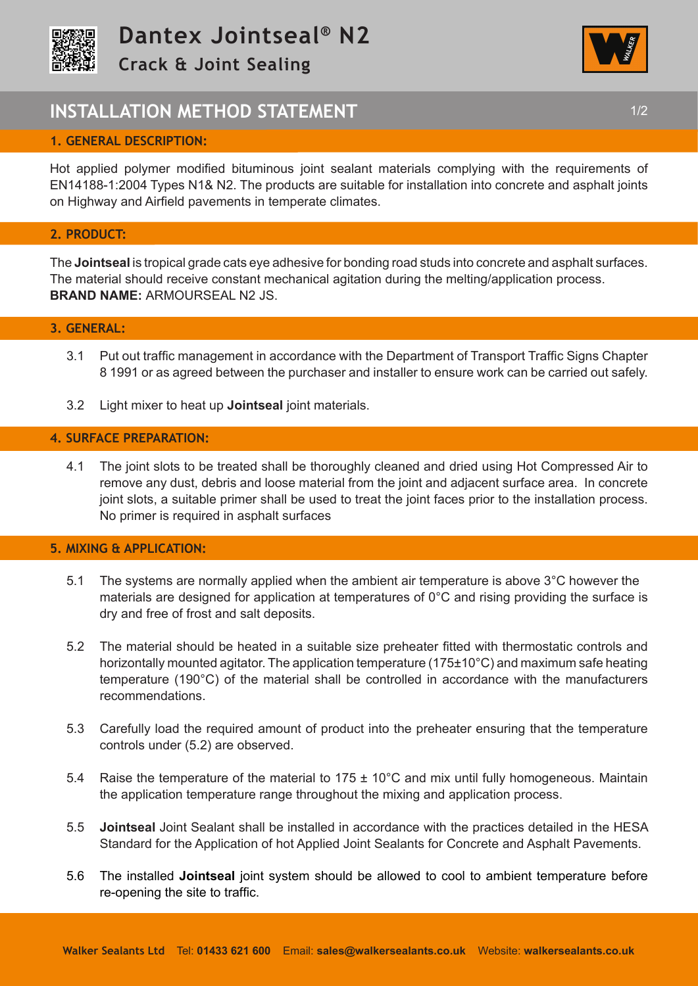



# **INSTALLATION METHOD STATEMENT 1/2 1/2**

# **1. GENERAL DESCRIPTION:**

Hot applied polymer modified bituminous joint sealant materials complying with the requirements of EN14188-1:2004 Types N1& N2. The products are suitable for installation into concrete and asphalt joints on Highway and Airfield pavements in temperate climates.

#### **2. PRODUCT:**

The **Jointseal** is tropical grade cats eye adhesive for bonding road studs into concrete and asphalt surfaces. The material should receive constant mechanical agitation during the melting/application process. **BRAND NAME:** ARMOURSEAL N2 JS.

#### **3. GENERAL:**

- 3.1 Put out traffic management in accordance with the Department of Transport Traffic Signs Chapter 8 1991 or as agreed between the purchaser and installer to ensure work can be carried out safely.
- 3.2 Light mixer to heat up **Jointseal** joint materials.

#### **4. SURFACE PREPARATION:**

4.1 The joint slots to be treated shall be thoroughly cleaned and dried using Hot Compressed Air to remove any dust, debris and loose material from the joint and adjacent surface area. In concrete joint slots, a suitable primer shall be used to treat the joint faces prior to the installation process. No primer is required in asphalt surfaces

## **5. MIXING & APPLICATION:**

- 5.1 The systems are normally applied when the ambient air temperature is above 3°C however the materials are designed for application at temperatures of  $0^{\circ}$ C and rising providing the surface is dry and free of frost and salt deposits.
- 5.2 The material should be heated in a suitable size preheater fitted with thermostatic controls and horizontally mounted agitator. The application temperature (175±10°C) and maximum safe heating temperature (190°C) of the material shall be controlled in accordance with the manufacturers recommendations.
- 5.3 Carefully load the required amount of product into the preheater ensuring that the temperature controls under (5.2) are observed.
- 5.4 Raise the temperature of the material to  $175 \pm 10^{\circ}$ C and mix until fully homogeneous. Maintain the application temperature range throughout the mixing and application process.
- 5.5 **Jointseal** Joint Sealant shall be installed in accordance with the practices detailed in the HESA Standard for the Application of hot Applied Joint Sealants for Concrete and Asphalt Pavements.
- 5.6 The installed **Jointseal** joint system should be allowed to cool to ambient temperature before re-opening the site to traffic.